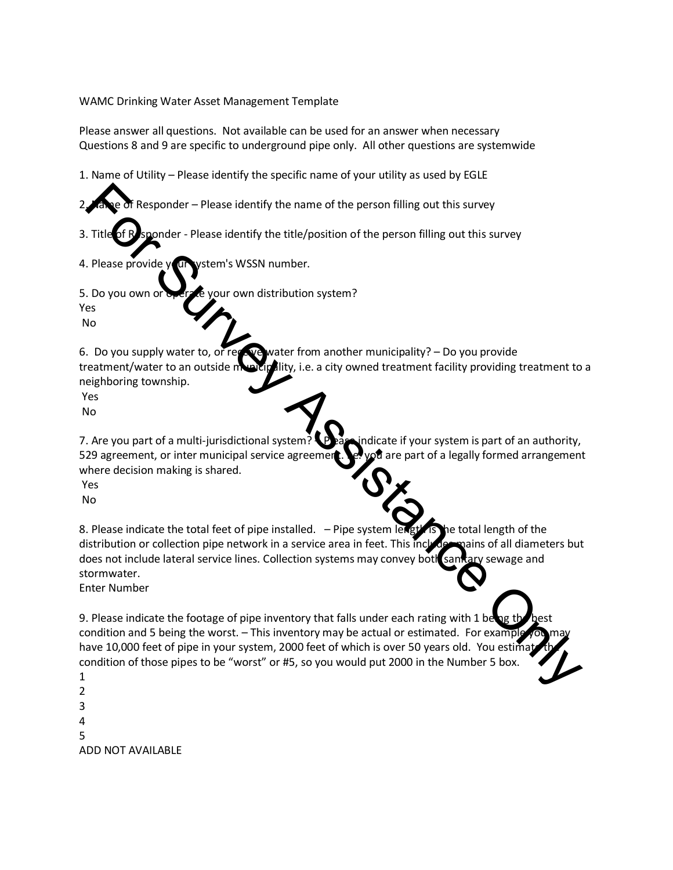WAMC Drinking Water Asset Management Template

Please answer all questions. Not available can be used for an answer when necessary Questions 8 and 9 are specific to underground pipe only. All other questions are systemwide

1. Name of Utility – Please identify the specific name of your utility as used by EGLE

Responder – Please identify the name of the person filling out this survey

3. Title of Responder - Please identify the title/position of the person filling out this survey

4. Please provide your vstem's WSSN number.

5. Do you own or operate your own distribution system?

Yes No

6. Do you supply water to, or receive water from another municipality? – Do you provide treatment/water to an outside municipality, i.e. a city owned treatment facility providing treatment to a neighboring township.

Yes

No

7. Are you part of a multi-jurisdictional system?  $\bullet$  as indicate if your system is part of an authority, 529 agreement, or inter municipal service agreement.  $\mathbb{R}$   $\mathbb{R}$  are part of a legally formed arrangement where decision making is shared.

Yes No

8. Please indicate the total feet of pipe installed.  $-$  Pipe system length is the total length of the distribution or collection pipe network in a service area in feet. This includes mains of all diameters but does not include lateral service lines. Collection systems may convey both sanitary sewage and stormwater. The Constraints of the pressure of the person filling out this survey<br>
Filte Constraints and the title/position of the person filling out this survey<br>
Please provide<br>
Constraints with the title/position of the person filli

Enter Number

9. Please indicate the footage of pipe inventory that falls under each rating with 1 be condition and 5 being the worst. – This inventory may be actual or estimated. For example have 10,000 feet of pipe in your system, 2000 feet of which is over 50 years old. You estim condition of those pipes to be "worst" or #5, so you would put 2000 in the Number 5 box.

1 2 3 4 5 ADD NOT AVAILABLE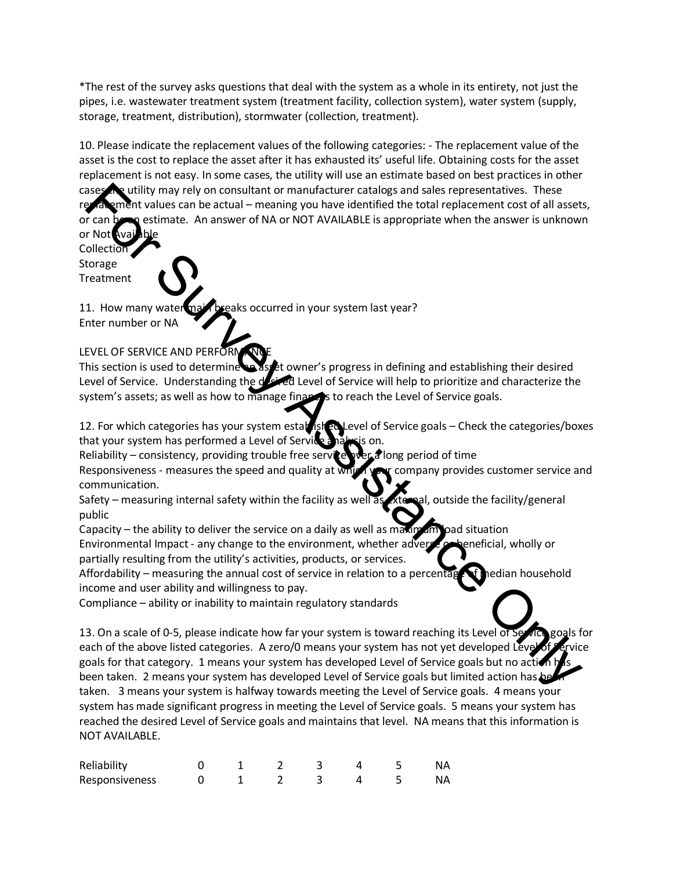\*The rest of the survey asks questions that deal with the system as a whole in its entirety, not just the pipes, i.e. wastewater treatment system (treatment facility, collection system), water system (supply, storage, treatment, distribution), stormwater (collection, treatment).

10. Please indicate the replacement values of the following categories: - The replacement value of the asset is the cost to replace the asset after it has exhausted its' useful life. Obtaining costs for the asset replacement is not easy. In some cases, the utility will use an estimate based on best practices in other cases the utility may rely on consultant or manufacturer catalogs and sales representatives. These replacement values can be actual – meaning you have identified the total replacement cost of all assets, or can be an estimate. An answer of NA or NOT AVAILABLE is appropriate when the answer is unknown or Not

**Collection** Storage Treatment

11. How many water main breaks occurred in your system last year? Enter number or NA

## LEVEL OF SERVICE AND PERFORM

This section is used to determine an asset owner's progress in defining and establishing their desired Level of Service. Understanding the desired Level of Service will help to prioritize and characterize the system's assets; as well as how to manage finances to reach the Level of Service goals.

12. For which categories has your system established Level of Service goals – Check the categories/boxes that your system has performed a Level of Service analysis on.

Reliability – consistency, providing trouble free service  $\psi$  or a long period of time

Responsiveness - measures the speed and quality at which you company provides customer service and communication.

Safety – measuring internal safety within the facility as well as external, outside the facility/general public

Capacity – the ability to deliver the service on a daily as well as maximum load situation

Environmental Impact - any change to the environment, whether adverse or beneficial, wholly or partially resulting from the utility's activities, products, or services.

Affordability – measuring the annual cost of service in relation to a percentage of nedian household income and user ability and willingness to pay.

Compliance – ability or inability to maintain regulatory standards

13. On a scale of 0-5, please indicate how far your system is toward reaching its Level of Service goals for each of the above listed categories. A zero/0 means your system has not yet developed Leve goals for that category. 1 means your system has developed Level of Service goals but no action been taken. 2 means your system has developed Level of Service goals but limited action has be taken. 3 means your system is halfway towards meeting the Level of Service goals. 4 means your system has made significant progress in meeting the Level of Service goals. 5 means your system has reached the desired Level of Service goals and maintains that level. NA means that this information is NOT AVAILABLE. **Example the standard in the standard in the standard in the standard sale representatives. These<br>the standard in the standard in the standard in the standard in the standard in the standard in the standard in<br>the r Not Co** 

| Reliability    |  |  |  |  |
|----------------|--|--|--|--|
| Responsiveness |  |  |  |  |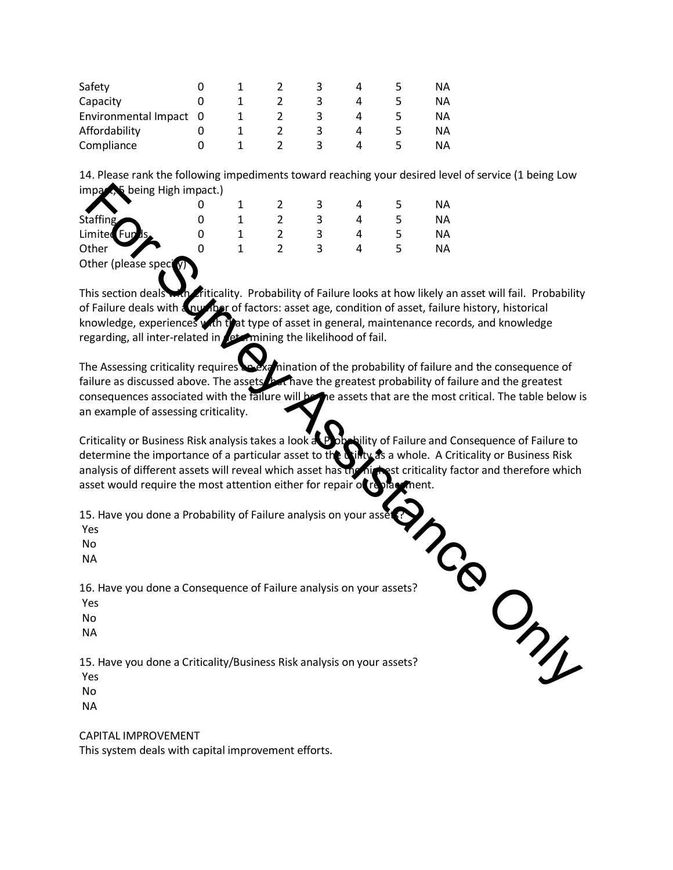| Safety                 |  |  |  | ΝA |
|------------------------|--|--|--|----|
| Capacity               |  |  |  | ΝA |
| Environmental Impact 0 |  |  |  | ΝA |
| Affordability          |  |  |  | ΝA |
| Compliance             |  |  |  | ΝA |

14. Please rank the following impediments toward reaching your desired level of service (1 being Low  $impaz,$  being High impact.)

|                        |  |  |  | ΝA |
|------------------------|--|--|--|----|
| <b>Staffing</b>        |  |  |  | ΝA |
| Limited Funds.         |  |  |  | ΝA |
| Other                  |  |  |  | ΝA |
| Other (please spect y) |  |  |  |    |

This section deals with Criticality. Probability of Failure looks at how likely an asset will fail. Probability of Failure deals with a number of factors: asset age, condition of asset, failure history, historical knowledge, experiences with that type of asset in general, maintenance records, and knowledge regarding, all inter-related in  $\sqrt{et}$  mining the likelihood of fail.

The Assessing criticality requires and examination of the probability of failure and the consequence of failure as discussed above. The assets that have the greatest probability of failure and the greatest consequences associated with the failure will be the assets that are the most critical. The table below is an example of assessing criticality. **Example 19**<br>
The most of the plane is a consequence of Failure analysis on your assets?<br>
The there (please speed)<br>
the most of please speed)<br>
This action deals with  $\frac{1}{2}$  a consider of 5 and 5 NA<br>
In the filter (pleas

Criticality or Business Risk analysis takes a look at Probability of Failure and Consequence of Failure to determine the importance of a particular asset to the Unity as a whole. A Criticality or Business Risk determine the importance of a particular asset to the analysis of different assets will reveal which asset has the highest criticality factor and therefore which asset would require the most attention either for repair of replacement.

15. Have you done a Probability of Failure analysis on your asset

Yes

No

NA

The Yes<br>
No<br>
NA<br>
16. Have you done a Consequence of Failure analysis on your assets?

Yes

No

NA

15. Have you done a Criticality/Business Risk analysis on your assets?

Yes

No

NA

CAPITAL IMPROVEMENT

This system deals with capital improvement efforts.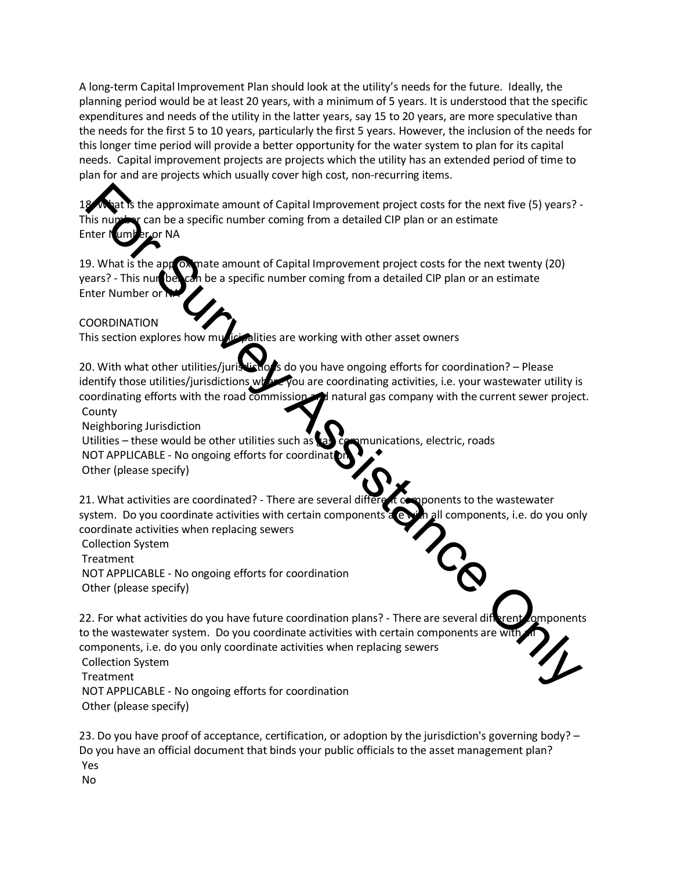A long-term Capital Improvement Plan should look at the utility's needs for the future. Ideally, the planning period would be at least 20 years, with a minimum of 5 years. It is understood that the specific expenditures and needs of the utility in the latter years, say 15 to 20 years, are more speculative than the needs for the first 5 to 10 years, particularly the first 5 years. However, the inclusion of the needs for this longer time period will provide a better opportunity for the water system to plan for its capital needs. Capital improvement projects are projects which the utility has an extended period of time to plan for and are projects which usually cover high cost, non-recurring items.

the approximate amount of Capital Improvement project costs for the next five (5) years? -This number can be a specific number coming from a detailed CIP plan or an estimate Enter Number or NA

19. What is the approximate amount of Capital Improvement project costs for the next twenty (20) years? - This number can be a specific number coming from a detailed CIP plan or an estimate Enter Number or

## COORDINATION

This section explores how municipalities are working with other asset owners

20. With what other utilities/jurisdictions do you have ongoing efforts for coordination? – Please identify those utilities/jurisdictions where you are coordinating activities, i.e. your wastewater utility is coordinating efforts with the road commission and natural gas company with the current sewer project. County

Neighboring Jurisdiction

Utilities – these would be other utilities such as  $\{a\}$  communications, electric, roads NOT APPLICABLE - No ongoing efforts for coordinat

Other (please specify)

21. What activities are coordinated? - There are several different components to the wastewater system. Do you coordinate activities with certain components are with all components, i.e. do you only coordinate activities when replacing sewers

Collection System Treatment NOT APPLICABLE - No ongoing efforts for coordination

Other (please specify)

22. For what activities do you have future coordination plans? - There are several different components to the wastewater system. Do you coordinate activities with certain components are with components, i.e. do you only coordinate activities when replacing sewers Collection System **Treatment** NOT APPLICABLE - No ongoing efforts for coordination For the approximate amount of Capital Improvement project costs for the next five (5) years?<br>This number can be a specific number coming from a detailed CIP plan or an estimate<br>there we was significantly as the application

Other (please specify)

23. Do you have proof of acceptance, certification, or adoption by the jurisdiction's governing body? – Do you have an official document that binds your public officials to the asset management plan? Yes No